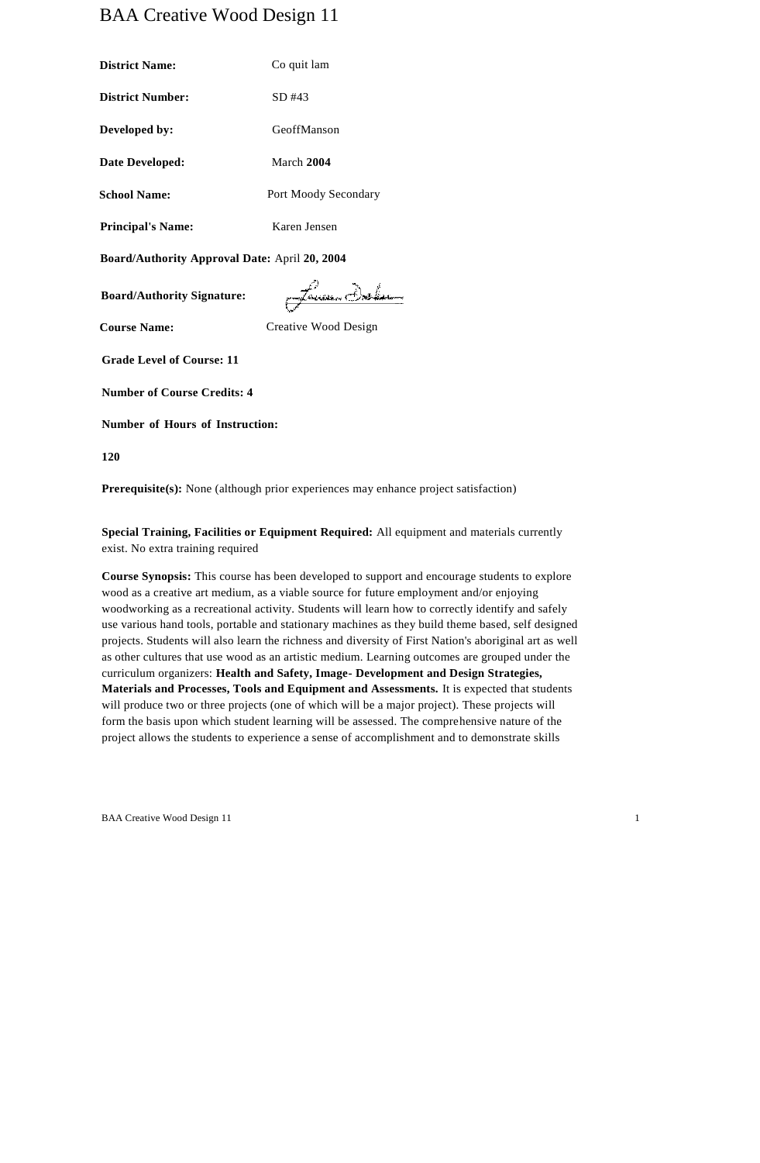# BAA Creative Wood Design 11

| <b>District Name:</b>    | Co quit lam          |  |
|--------------------------|----------------------|--|
| <b>District Number:</b>  | $SD$ #43             |  |
| Developed by:            | GeoffManson          |  |
| Date Developed:          | March 2004           |  |
| <b>School Name:</b>      | Port Moody Secondary |  |
| <b>Principal's Name:</b> | Karen Jensen         |  |

**Board/Authority Approval Date:** April **20, 2004**

**Board/Authority Signature:**

Family Delas

**Course Name:** Creative Wood Design

**Grade Level of Course: 11**

**Number of Course Credits: 4**

**Number of Hours of Instruction:** 

**120**

**Prerequisite(s):** None (although prior experiences may enhance project satisfaction)

**Special Training, Facilities or Equipment Required:** All equipment and materials currently exist. No extra training required

**Course Synopsis:** This course has been developed to support and encourage students to explore wood as a creative art medium, as a viable source for future employment and/or enjoying woodworking as a recreational activity. Students will learn how to correctly identify and safely use various hand tools, portable and stationary machines as they build theme based, self designed projects. Students will also learn the richness and diversity of First Nation's aboriginal art as well as other cultures that use wood as an artistic medium. Learning outcomes are grouped under the curriculum organizers: **Health and Safety, Image- Development and Design Strategies, Materials and Processes, Tools and Equipment and Assessments.** It is expected that students will produce two or three projects (one of which will be a major project). These projects will form the basis upon which student learning will be assessed. The comprehensive nature of the project allows the students to experience a sense of accomplishment and to demonstrate skills

BAA Creative Wood Design 11 1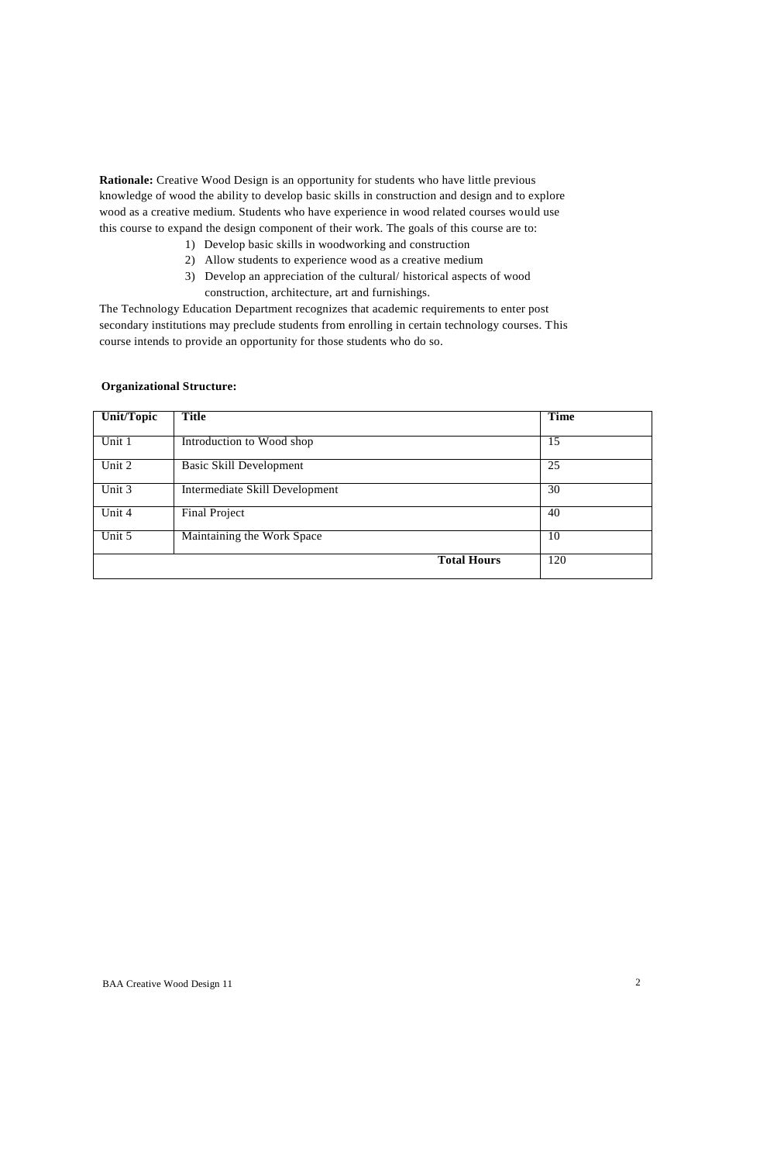**Rationale:** Creative Wood Design is an opportunity for students who have little previous knowledge of wood the ability to develop basic skills in construction and design and to explore wood as a creative medium. Students who have experience in wood related courses would use this course to expand the design component of their work. The goals of this course are to:

- 1) Develop basic skills in woodworking and construction
- 2) Allow students to experience wood as a creative medium
- 3) Develop an appreciation of the cultural/ historical aspects of wood construction, architecture, art and furnishings.

The Technology Education Department recognizes that academic requirements to enter post secondary institutions may preclude students from enrolling in certain technology courses. This course intends to provide an opportunity for those students who do so.

# **Organizational Structure:**

| Unit/Topic | <b>Title</b>                   | <b>Time</b> |
|------------|--------------------------------|-------------|
| Unit 1     | Introduction to Wood shop      | 15          |
| Unit 2     | Basic Skill Development        | 25          |
| Unit 3     | Intermediate Skill Development | 30          |
| Unit 4     | <b>Final Project</b>           | 40          |
| Unit 5     | Maintaining the Work Space     | 10          |
|            | <b>Total Hours</b>             | 120         |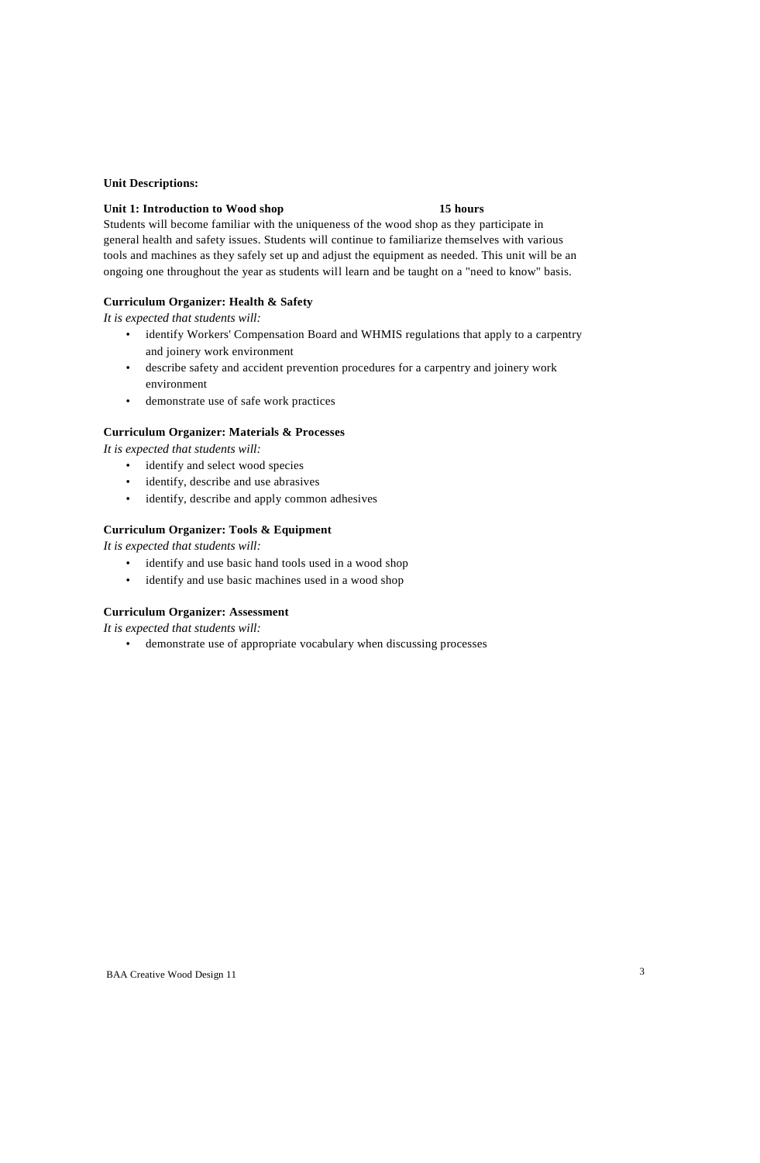#### **Unit Descriptions:**

#### **Unit 1: Introduction to Wood shop 15 hours**

Students will become familiar with the uniqueness of the wood shop as they participate in general health and safety issues. Students will continue to familiarize themselves with various tools and machines as they safely set up and adjust the equipment as needed. This unit will be an ongoing one throughout the year as students will learn and be taught on a "need to know" basis.

# **Curriculum Organizer: Health & Safety**

*It is expected that students will:*

- identify Workers' Compensation Board and WHMIS regulations that apply to a carpentry and joinery work environment
- describe safety and accident prevention procedures for a carpentry and joinery work environment
- demonstrate use of safe work practices

# **Curriculum Organizer: Materials & Processes**

*It is expected that students will:*

- identify and select wood species
- identify, describe and use abrasives
- identify, describe and apply common adhesives

# **Curriculum Organizer: Tools & Equipment**

*It is expected that students will:*

- identify and use basic hand tools used in a wood shop
- identify and use basic machines used in a wood shop

### **Curriculum Organizer: Assessment**

*It is expected that students will:*

demonstrate use of appropriate vocabulary when discussing processes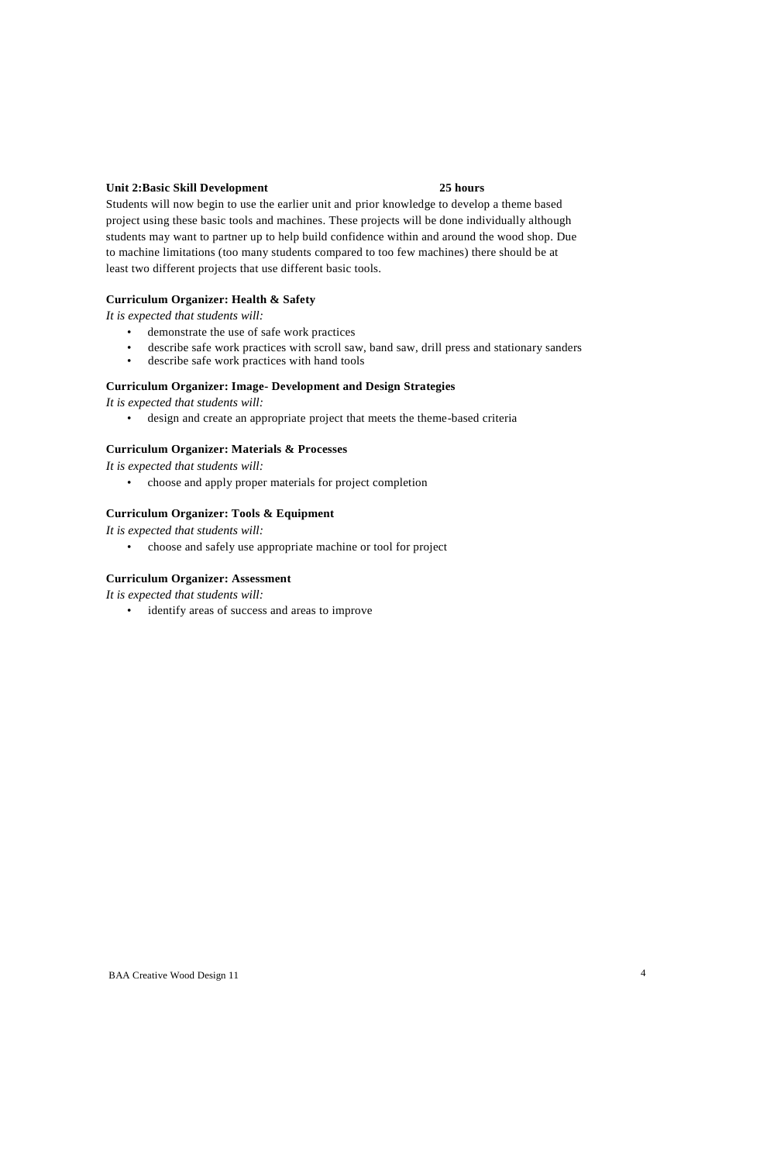# **Unit 2:Basic Skill Development 25 hours**

Students will now begin to use the earlier unit and prior knowledge to develop a theme based project using these basic tools and machines. These projects will be done individually although students may want to partner up to help build confidence within and around the wood shop. Due to machine limitations (too many students compared to too few machines) there should be at least two different projects that use different basic tools.

### **Curriculum Organizer: Health & Safety**

*It is expected that students will:*

- demonstrate the use of safe work practices
- describe safe work practices with scroll saw, band saw, drill press and stationary sanders
- describe safe work practices with hand tools

### **Curriculum Organizer: Image- Development and Design Strategies**

*It is expected that students will:*

• design and create an appropriate project that meets the theme-based criteria

#### **Curriculum Organizer: Materials & Processes**

*It is expected that students will:*

• choose and apply proper materials for project completion

#### **Curriculum Organizer: Tools & Equipment**

*It is expected that students will:*

• choose and safely use appropriate machine or tool for project

#### **Curriculum Organizer: Assessment**

*It is expected that students will:*

• identify areas of success and areas to improve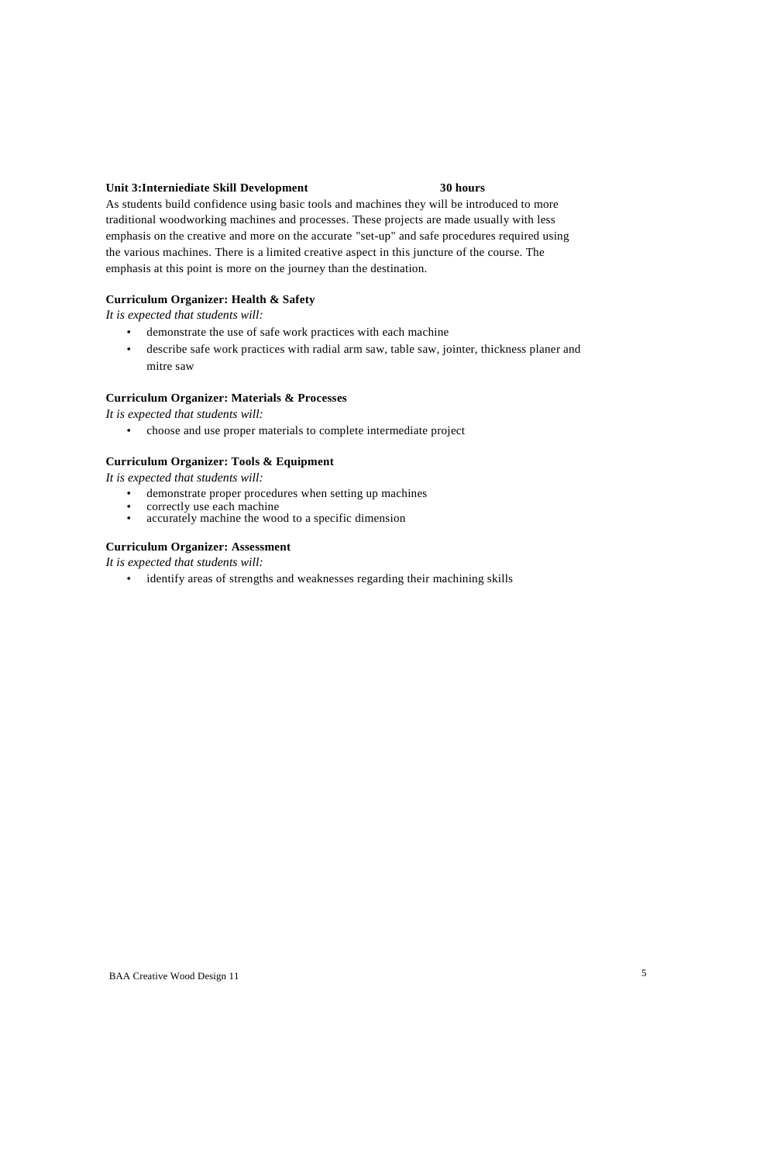# **Unit 3:Interniediate Skill Development 30 hours**

As students build confidence using basic tools and machines they will be introduced to more traditional woodworking machines and processes. These projects are made usually with less emphasis on the creative and more on the accurate "set-up" and safe procedures required using the various machines. There is a limited creative aspect in this juncture of the course. The emphasis at this point is more on the journey than the destination.

# **Curriculum Organizer: Health & Safety**

*It is expected that students will:*

- demonstrate the use of safe work practices with each machine
- describe safe work practices with radial arm saw, table saw, jointer, thickness planer and mitre saw

#### **Curriculum Organizer: Materials & Processes**

*It is expected that students will:*

• choose and use proper materials to complete intermediate project

# **Curriculum Organizer: Tools & Equipment**

*It is expected that students will:*

- demonstrate proper procedures when setting up machines
- correctly use each machine accurately machine the wood to a specific dimension

# **Curriculum Organizer: Assessment**

*It is expected that students will:*

• identify areas of strengths and weaknesses regarding their machining skills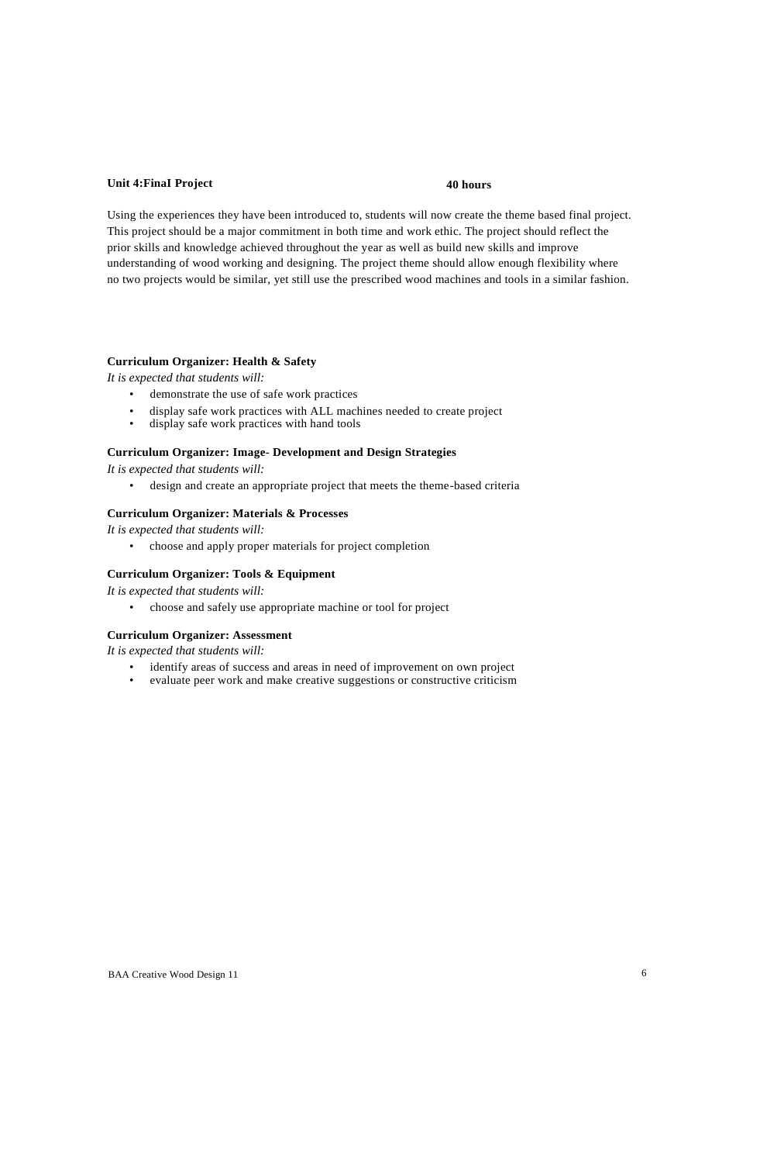# **Unit 4:FinaI Project 40 hours**

Using the experiences they have been introduced to, students will now create the theme based final project. This project should be a major commitment in both time and work ethic. The project should reflect the prior skills and knowledge achieved throughout the year as well as build new skills and improve understanding of wood working and designing. The project theme should allow enough flexibility where no two projects would be similar, yet still use the prescribed wood machines and tools in a similar fashion.

### **Curriculum Organizer: Health & Safety**

*It is expected that students will:*

- demonstrate the use of safe work practices
- display safe work practices with ALL machines needed to create project
- display safe work practices with hand tools

#### **Curriculum Organizer: Image- Development and Design Strategies**

*It is expected that students will:*

• design and create an appropriate project that meets the theme-based criteria

### **Curriculum Organizer: Materials & Processes**

*It is expected that students will:*

• choose and apply proper materials for project completion

# **Curriculum Organizer: Tools & Equipment**

*It is expected that students will:*

• choose and safely use appropriate machine or tool for project

#### **Curriculum Organizer: Assessment**

*It is expected that students will:*

- identify areas of success and areas in need of improvement on own project
- evaluate peer work and make creative suggestions or constructive criticism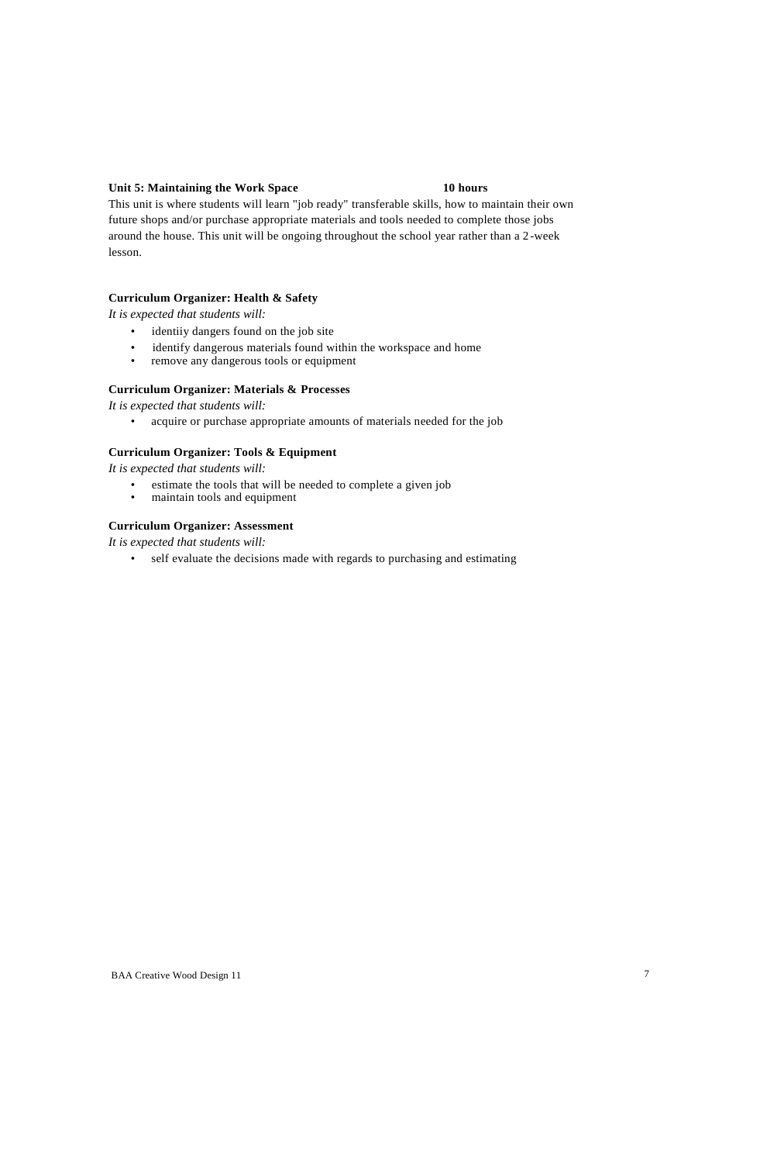# **Unit 5: Maintaining the Work Space 10 hours**

This unit is where students will learn "job ready" transferable skills, how to maintain their own future shops and/or purchase appropriate materials and tools needed to complete those jobs around the house. This unit will be ongoing throughout the school year rather than a 2-week lesson.

#### **Curriculum Organizer: Health & Safety**

*It is expected that students will:*

- identiiy dangers found on the job site
- identify dangerous materials found within the workspace and home<br>• remove any dangerous tools or equipment
- remove any dangerous tools or equipment

### **Curriculum Organizer: Materials & Processes**

*It is expected that students will:*

• acquire or purchase appropriate amounts of materials needed for the job

# **Curriculum Organizer: Tools & Equipment**

*It is expected that students will:*

- estimate the tools that will be needed to complete a given job<br>• maintain tools and equipment
- maintain tools and equipment

#### **Curriculum Organizer: Assessment**

*It is expected that students will:*

• self evaluate the decisions made with regards to purchasing and estimating